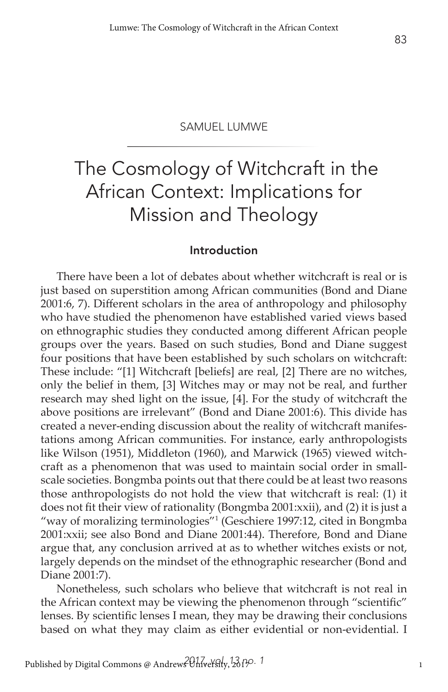# The Cosmology of Witchcraft in the African Context: Implications for Mission and Theology

#### Introduction

There have been a lot of debates about whether witchcraft is real or is just based on superstition among African communities (Bond and Diane 2001:6, 7). Different scholars in the area of anthropology and philosophy who have studied the phenomenon have established varied views based on ethnographic studies they conducted among different African people groups over the years. Based on such studies, Bond and Diane suggest four positions that have been established by such scholars on witchcraft: These include: "[1] Witchcraft [beliefs] are real, [2] There are no witches, only the belief in them, [3] Witches may or may not be real, and further research may shed light on the issue, [4]. For the study of witchcraft the above positions are irrelevant" (Bond and Diane 2001:6). This divide has created a never-ending discussion about the reality of witchcraft manifestations among African communities. For instance, early anthropologists like Wilson (1951), Middleton (1960), and Marwick (1965) viewed witchcraft as a phenomenon that was used to maintain social order in smallscale societies. Bongmba points out that there could be at least two reasons those anthropologists do not hold the view that witchcraft is real: (1) it does not fit their view of rationality (Bongmba 2001:xxii), and (2) it is just a "way of moralizing terminologies"1 (Geschiere 1997:12, cited in Bongmba 2001:xxii; see also Bond and Diane 2001:44). Therefore, Bond and Diane argue that, any conclusion arrived at as to whether witches exists or not, largely depends on the mindset of the ethnographic researcher (Bond and Diane 2001:7).

Nonetheless, such scholars who believe that witchcraft is not real in the African context may be viewing the phenomenon through "scientific" lenses. By scientific lenses I mean, they may be drawing their conclusions based on what they may claim as either evidential or non-evidential. I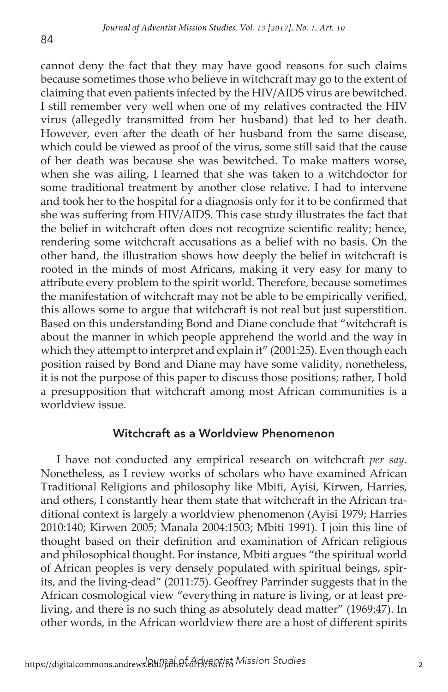84

cannot deny the fact that they may have good reasons for such claims because sometimes those who believe in witchcraft may go to the extent of claiming that even patients infected by the HIV/AIDS virus are bewitched. I still remember very well when one of my relatives contracted the HIV virus (allegedly transmitted from her husband) that led to her death. However, even after the death of her husband from the same disease, which could be viewed as proof of the virus, some still said that the cause of her death was because she was bewitched. To make matters worse, when she was ailing, I learned that she was taken to a witchdoctor for some traditional treatment by another close relative. I had to intervene and took her to the hospital for a diagnosis only for it to be confirmed that she was suffering from HIV/AIDS. This case study illustrates the fact that the belief in witchcraft often does not recognize scientific reality; hence, rendering some witchcraft accusations as a belief with no basis. On the other hand, the illustration shows how deeply the belief in witchcraft is rooted in the minds of most Africans, making it very easy for many to attribute every problem to the spirit world. Therefore, because sometimes the manifestation of witchcraft may not be able to be empirically verified, this allows some to argue that witchcraft is not real but just superstition. Based on this understanding Bond and Diane conclude that "witchcraft is about the manner in which people apprehend the world and the way in which they attempt to interpret and explain it" (2001:25). Even though each position raised by Bond and Diane may have some validity, nonetheless, it is not the purpose of this paper to discuss those positions; rather, I hold a presupposition that witchcraft among most African communities is a worldview issue.

#### Witchcraft as a Worldview Phenomenon

I have not conducted any empirical research on witchcraft *per say*. Nonetheless, as I review works of scholars who have examined African Traditional Religions and philosophy like Mbiti, Ayisi, Kirwen, Harries, and others, I constantly hear them state that witchcraft in the African traditional context is largely a worldview phenomenon (Ayisi 1979; Harries 2010:140; Kirwen 2005; Manala 2004:1503; Mbiti 1991). I join this line of thought based on their definition and examination of African religious and philosophical thought. For instance, Mbiti argues "the spiritual world of African peoples is very densely populated with spiritual beings, spirits, and the living-dead" (2011:75). Geoffrey Parrinder suggests that in the African cosmological view "everything in nature is living, or at least preliving, and there is no such thing as absolutely dead matter" (1969:47). In other words, in the African worldview there are a host of different spirits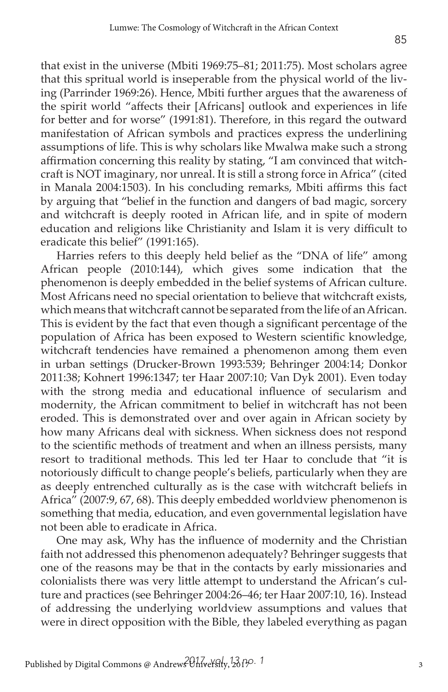that exist in the universe (Mbiti 1969:75–81; 2011:75). Most scholars agree that this spritual world is inseperable from the physical world of the living (Parrinder 1969:26). Hence, Mbiti further argues that the awareness of the spirit world "affects their [Africans] outlook and experiences in life for better and for worse" (1991:81). Therefore, in this regard the outward manifestation of African symbols and practices express the underlining assumptions of life. This is why scholars like Mwalwa make such a strong affirmation concerning this reality by stating, "I am convinced that witchcraft is NOT imaginary, nor unreal. It is still a strong force in Africa" (cited in Manala 2004:1503). In his concluding remarks, Mbiti affirms this fact by arguing that "belief in the function and dangers of bad magic, sorcery and witchcraft is deeply rooted in African life, and in spite of modern education and religions like Christianity and Islam it is very difficult to eradicate this belief" (1991:165).

Harries refers to this deeply held belief as the "DNA of life" among African people (2010:144), which gives some indication that the phenomenon is deeply embedded in the belief systems of African culture. Most Africans need no special orientation to believe that witchcraft exists, which means that witchcraft cannot be separated from the life of an African. This is evident by the fact that even though a significant percentage of the population of Africa has been exposed to Western scientific knowledge, witchcraft tendencies have remained a phenomenon among them even in urban settings (Drucker-Brown 1993:539; Behringer 2004:14; Donkor 2011:38; Kohnert 1996:1347; ter Haar 2007:10; Van Dyk 2001). Even today with the strong media and educational influence of secularism and modernity, the African commitment to belief in witchcraft has not been eroded. This is demonstrated over and over again in African society by how many Africans deal with sickness. When sickness does not respond to the scientific methods of treatment and when an illness persists, many resort to traditional methods. This led ter Haar to conclude that "it is notoriously difficult to change people's beliefs, particularly when they are as deeply entrenched culturally as is the case with witchcraft beliefs in Africa" (2007:9, 67, 68). This deeply embedded worldview phenomenon is something that media, education, and even governmental legislation have not been able to eradicate in Africa.

One may ask, Why has the influence of modernity and the Christian faith not addressed this phenomenon adequately? Behringer suggests that one of the reasons may be that in the contacts by early missionaries and colonialists there was very little attempt to understand the African's culture and practices (see Behringer 2004:26–46; ter Haar 2007:10, 16). Instead of addressing the underlying worldview assumptions and values that were in direct opposition with the Bible, they labeled everything as pagan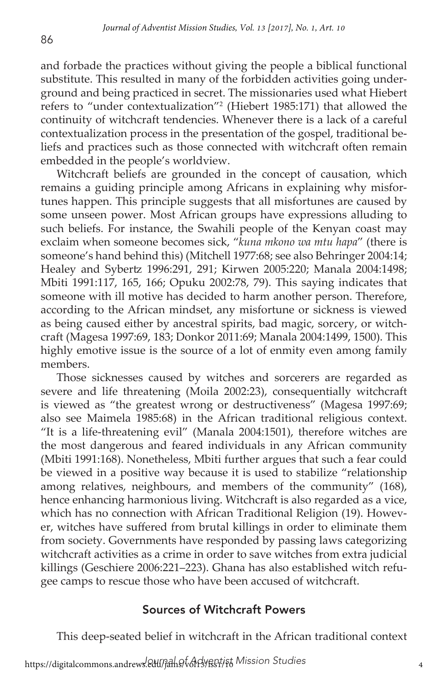and forbade the practices without giving the people a biblical functional substitute. This resulted in many of the forbidden activities going underground and being practiced in secret. The missionaries used what Hiebert refers to "under contextualization"2 (Hiebert 1985:171) that allowed the continuity of witchcraft tendencies. Whenever there is a lack of a careful contextualization process in the presentation of the gospel, traditional beliefs and practices such as those connected with witchcraft often remain embedded in the people's worldview.

Witchcraft beliefs are grounded in the concept of causation, which remains a guiding principle among Africans in explaining why misfortunes happen. This principle suggests that all misfortunes are caused by some unseen power. Most African groups have expressions alluding to such beliefs. For instance, the Swahili people of the Kenyan coast may exclaim when someone becomes sick, "*kuna mkono wa mtu hapa*" (there is someone's hand behind this) (Mitchell 1977:68; see also Behringer 2004:14; Healey and Sybertz 1996:291, 291; Kirwen 2005:220; Manala 2004:1498; Mbiti 1991:117, 165, 166; Opuku 2002:78, 79). This saying indicates that someone with ill motive has decided to harm another person. Therefore, according to the African mindset, any misfortune or sickness is viewed as being caused either by ancestral spirits, bad magic, sorcery, or witchcraft (Magesa 1997:69, 183; Donkor 2011:69; Manala 2004:1499, 1500). This highly emotive issue is the source of a lot of enmity even among family members.

Those sicknesses caused by witches and sorcerers are regarded as severe and life threatening (Moila 2002:23), consequentially witchcraft is viewed as "the greatest wrong or destructiveness" (Magesa 1997:69; also see Maimela 1985:68) in the African traditional religious context. "It is a life-threatening evil" (Manala 2004:1501), therefore witches are the most dangerous and feared individuals in any African community (Mbiti 1991:168). Nonetheless, Mbiti further argues that such a fear could be viewed in a positive way because it is used to stabilize "relationship among relatives, neighbours, and members of the community" (168), hence enhancing harmonious living. Witchcraft is also regarded as a vice, which has no connection with African Traditional Religion (19). However, witches have suffered from brutal killings in order to eliminate them from society. Governments have responded by passing laws categorizing witchcraft activities as a crime in order to save witches from extra judicial killings (Geschiere 2006:221–223). Ghana has also established witch refugee camps to rescue those who have been accused of witchcraft.

#### Sources of Witchcraft Powers

This deep-seated belief in witchcraft in the African traditional context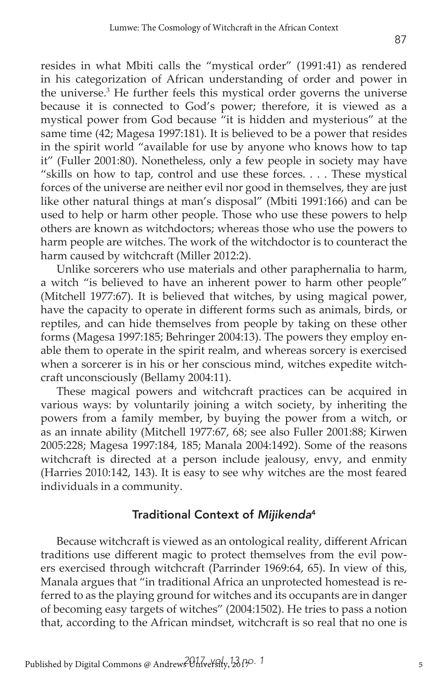resides in what Mbiti calls the "mystical order" (1991:41) as rendered in his categorization of African understanding of order and power in the universe.<sup>3</sup> He further feels this mystical order governs the universe because it is connected to God's power; therefore, it is viewed as a mystical power from God because "it is hidden and mysterious" at the same time (42; Magesa 1997:181). It is believed to be a power that resides in the spirit world "available for use by anyone who knows how to tap it" (Fuller 2001:80). Nonetheless, only a few people in society may have "skills on how to tap, control and use these forces. . . . These mystical forces of the universe are neither evil nor good in themselves, they are just like other natural things at man's disposal" (Mbiti 1991:166) and can be used to help or harm other people. Those who use these powers to help others are known as witchdoctors; whereas those who use the powers to harm people are witches. The work of the witchdoctor is to counteract the harm caused by witchcraft (Miller 2012:2).

Unlike sorcerers who use materials and other paraphernalia to harm, a witch "is believed to have an inherent power to harm other people" (Mitchell 1977:67). It is believed that witches, by using magical power, have the capacity to operate in different forms such as animals, birds, or reptiles, and can hide themselves from people by taking on these other forms (Magesa 1997:185; Behringer 2004:13). The powers they employ enable them to operate in the spirit realm, and whereas sorcery is exercised when a sorcerer is in his or her conscious mind, witches expedite witchcraft unconsciously (Bellamy 2004:11).

These magical powers and witchcraft practices can be acquired in various ways: by voluntarily joining a witch society, by inheriting the powers from a family member, by buying the power from a witch, or as an innate ability (Mitchell 1977:67, 68; see also Fuller 2001:88; Kirwen 2005:228; Magesa 1997:184, 185; Manala 2004:1492). Some of the reasons witchcraft is directed at a person include jealousy, envy, and enmity (Harries 2010:142, 143). It is easy to see why witches are the most feared individuals in a community.

#### Traditional Context of *Mijikenda*<sup>4</sup>

Because witchcraft is viewed as an ontological reality, different African traditions use different magic to protect themselves from the evil powers exercised through witchcraft (Parrinder 1969:64, 65). In view of this, Manala argues that "in traditional Africa an unprotected homestead is referred to as the playing ground for witches and its occupants are in danger of becoming easy targets of witches" (2004:1502). He tries to pass a notion that, according to the African mindset, witchcraft is so real that no one is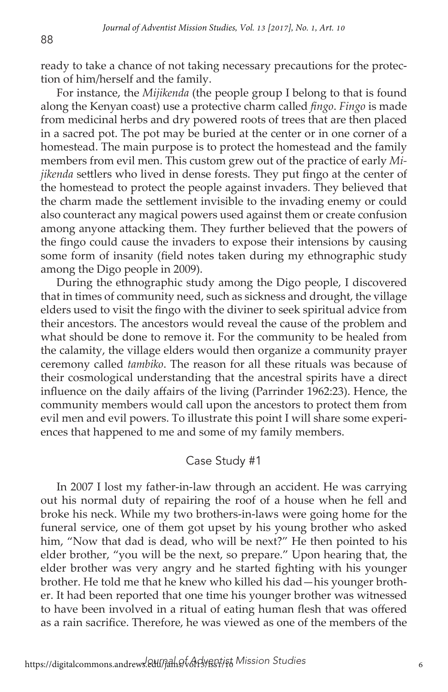ready to take a chance of not taking necessary precautions for the protection of him/herself and the family.

For instance, the *Mijikenda* (the people group I belong to that is found along the Kenyan coast) use a protective charm called *fingo*. *Fingo* is made from medicinal herbs and dry powered roots of trees that are then placed in a sacred pot. The pot may be buried at the center or in one corner of a homestead. The main purpose is to protect the homestead and the family members from evil men. This custom grew out of the practice of early *Mijikenda* settlers who lived in dense forests. They put fingo at the center of the homestead to protect the people against invaders. They believed that the charm made the settlement invisible to the invading enemy or could also counteract any magical powers used against them or create confusion among anyone attacking them. They further believed that the powers of the fingo could cause the invaders to expose their intensions by causing some form of insanity (field notes taken during my ethnographic study among the Digo people in 2009).

During the ethnographic study among the Digo people, I discovered that in times of community need, such as sickness and drought, the village elders used to visit the fingo with the diviner to seek spiritual advice from their ancestors. The ancestors would reveal the cause of the problem and what should be done to remove it. For the community to be healed from the calamity, the village elders would then organize a community prayer ceremony called *tambiko*. The reason for all these rituals was because of their cosmological understanding that the ancestral spirits have a direct influence on the daily affairs of the living (Parrinder 1962:23). Hence, the community members would call upon the ancestors to protect them from evil men and evil powers. To illustrate this point I will share some experiences that happened to me and some of my family members.

#### Case Study #1

In 2007 I lost my father-in-law through an accident. He was carrying out his normal duty of repairing the roof of a house when he fell and broke his neck. While my two brothers-in-laws were going home for the funeral service, one of them got upset by his young brother who asked him, "Now that dad is dead, who will be next?" He then pointed to his elder brother, "you will be the next, so prepare." Upon hearing that, the elder brother was very angry and he started fighting with his younger brother. He told me that he knew who killed his dad—his younger brother. It had been reported that one time his younger brother was witnessed to have been involved in a ritual of eating human flesh that was offered as a rain sacrifice. Therefore, he was viewed as one of the members of the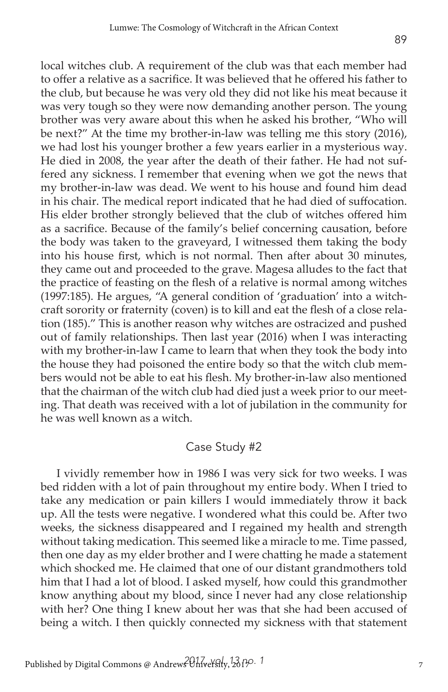local witches club. A requirement of the club was that each member had to offer a relative as a sacrifice. It was believed that he offered his father to the club, but because he was very old they did not like his meat because it was very tough so they were now demanding another person. The young brother was very aware about this when he asked his brother, "Who will be next?" At the time my brother-in-law was telling me this story (2016), we had lost his younger brother a few years earlier in a mysterious way. He died in 2008, the year after the death of their father. He had not suffered any sickness. I remember that evening when we got the news that my brother-in-law was dead. We went to his house and found him dead in his chair. The medical report indicated that he had died of suffocation. His elder brother strongly believed that the club of witches offered him as a sacrifice. Because of the family's belief concerning causation, before the body was taken to the graveyard, I witnessed them taking the body into his house first, which is not normal. Then after about 30 minutes, they came out and proceeded to the grave. Magesa alludes to the fact that the practice of feasting on the flesh of a relative is normal among witches (1997:185). He argues, "A general condition of 'graduation' into a witchcraft sorority or fraternity (coven) is to kill and eat the flesh of a close relation (185)." This is another reason why witches are ostracized and pushed out of family relationships. Then last year (2016) when I was interacting with my brother-in-law I came to learn that when they took the body into the house they had poisoned the entire body so that the witch club members would not be able to eat his flesh. My brother-in-law also mentioned that the chairman of the witch club had died just a week prior to our meeting. That death was received with a lot of jubilation in the community for he was well known as a witch.

## Case Study #2

I vividly remember how in 1986 I was very sick for two weeks. I was bed ridden with a lot of pain throughout my entire body. When I tried to take any medication or pain killers I would immediately throw it back up. All the tests were negative. I wondered what this could be. After two weeks, the sickness disappeared and I regained my health and strength without taking medication. This seemed like a miracle to me. Time passed, then one day as my elder brother and I were chatting he made a statement which shocked me. He claimed that one of our distant grandmothers told him that I had a lot of blood. I asked myself, how could this grandmother know anything about my blood, since I never had any close relationship with her? One thing I knew about her was that she had been accused of being a witch. I then quickly connected my sickness with that statement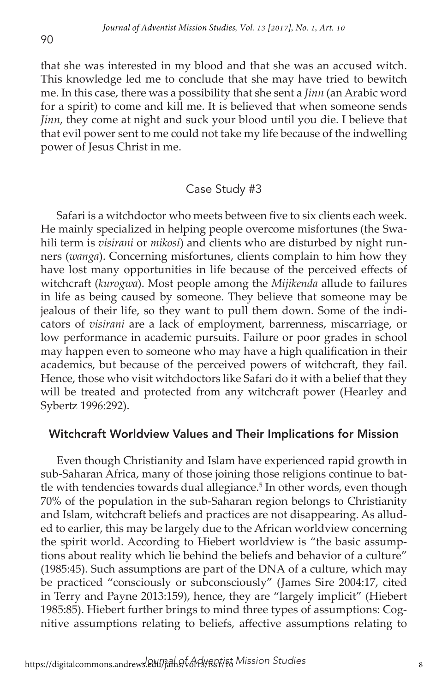that she was interested in my blood and that she was an accused witch. This knowledge led me to conclude that she may have tried to bewitch me. In this case, there was a possibility that she sent a *Jinn* (an Arabic word for a spirit) to come and kill me. It is believed that when someone sends *Jinn*, they come at night and suck your blood until you die. I believe that that evil power sent to me could not take my life because of the indwelling power of Jesus Christ in me.

#### Case Study #3

Safari is a witchdoctor who meets between five to six clients each week. He mainly specialized in helping people overcome misfortunes (the Swahili term is *visirani* or *mikosi*) and clients who are disturbed by night runners (*wanga*). Concerning misfortunes, clients complain to him how they have lost many opportunities in life because of the perceived effects of witchcraft (*kurogwa*). Most people among the *Mijikenda* allude to failures in life as being caused by someone. They believe that someone may be jealous of their life, so they want to pull them down. Some of the indicators of *visirani* are a lack of employment, barrenness, miscarriage, or low performance in academic pursuits. Failure or poor grades in school may happen even to someone who may have a high qualification in their academics, but because of the perceived powers of witchcraft, they fail. Hence, those who visit witchdoctors like Safari do it with a belief that they will be treated and protected from any witchcraft power (Hearley and Sybertz 1996:292).

#### Witchcraft Worldview Values and Their Implications for Mission

Even though Christianity and Islam have experienced rapid growth in sub-Saharan Africa, many of those joining those religions continue to battle with tendencies towards dual allegiance.<sup>5</sup> In other words, even though 70% of the population in the sub-Saharan region belongs to Christianity and Islam, witchcraft beliefs and practices are not disappearing. As alluded to earlier, this may be largely due to the African worldview concerning the spirit world. According to Hiebert worldview is "the basic assumptions about reality which lie behind the beliefs and behavior of a culture" (1985:45). Such assumptions are part of the DNA of a culture, which may be practiced "consciously or subconsciously" (James Sire 2004:17, cited in Terry and Payne 2013:159), hence, they are "largely implicit" (Hiebert 1985:85). Hiebert further brings to mind three types of assumptions: Cognitive assumptions relating to beliefs, affective assumptions relating to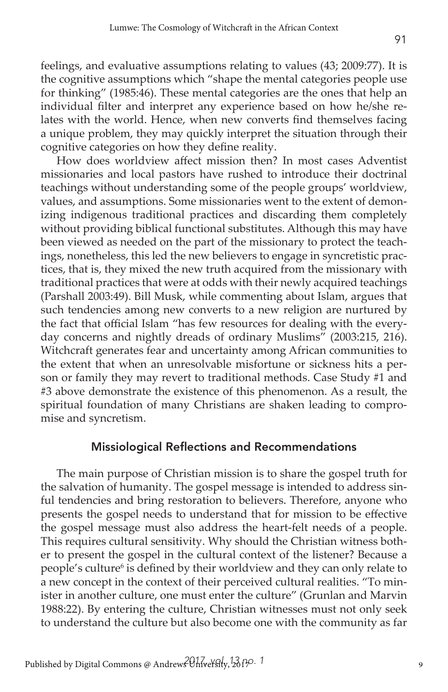feelings, and evaluative assumptions relating to values (43; 2009:77). It is the cognitive assumptions which "shape the mental categories people use for thinking" (1985:46). These mental categories are the ones that help an individual filter and interpret any experience based on how he/she relates with the world. Hence, when new converts find themselves facing a unique problem, they may quickly interpret the situation through their cognitive categories on how they define reality.

How does worldview affect mission then? In most cases Adventist missionaries and local pastors have rushed to introduce their doctrinal teachings without understanding some of the people groups' worldview, values, and assumptions. Some missionaries went to the extent of demonizing indigenous traditional practices and discarding them completely without providing biblical functional substitutes. Although this may have been viewed as needed on the part of the missionary to protect the teachings, nonetheless, this led the new believers to engage in syncretistic practices, that is, they mixed the new truth acquired from the missionary with traditional practices that were at odds with their newly acquired teachings (Parshall 2003:49). Bill Musk, while commenting about Islam, argues that such tendencies among new converts to a new religion are nurtured by the fact that official Islam "has few resources for dealing with the everyday concerns and nightly dreads of ordinary Muslims" (2003:215, 216). Witchcraft generates fear and uncertainty among African communities to the extent that when an unresolvable misfortune or sickness hits a person or family they may revert to traditional methods. Case Study #1 and #3 above demonstrate the existence of this phenomenon. As a result, the spiritual foundation of many Christians are shaken leading to compromise and syncretism.

#### Missiological Reflections and Recommendations

The main purpose of Christian mission is to share the gospel truth for the salvation of humanity. The gospel message is intended to address sinful tendencies and bring restoration to believers. Therefore, anyone who presents the gospel needs to understand that for mission to be effective the gospel message must also address the heart-felt needs of a people. This requires cultural sensitivity. Why should the Christian witness bother to present the gospel in the cultural context of the listener? Because a people's culture<sup>6</sup> is defined by their worldview and they can only relate to a new concept in the context of their perceived cultural realities. "To minister in another culture, one must enter the culture" (Grunlan and Marvin 1988:22). By entering the culture, Christian witnesses must not only seek to understand the culture but also become one with the community as far

91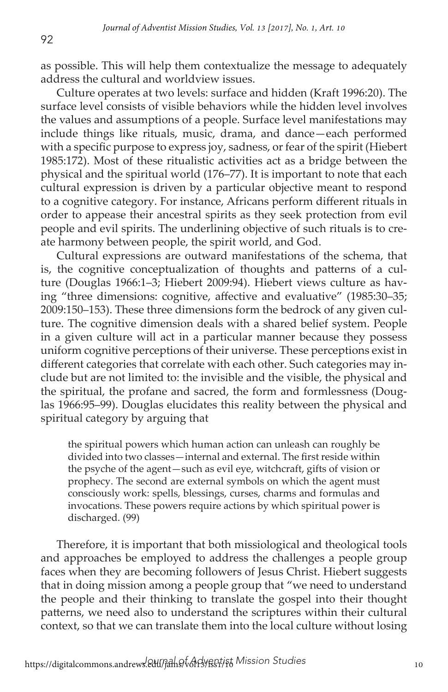as possible. This will help them contextualize the message to adequately address the cultural and worldview issues.

Culture operates at two levels: surface and hidden (Kraft 1996:20). The surface level consists of visible behaviors while the hidden level involves the values and assumptions of a people. Surface level manifestations may include things like rituals, music, drama, and dance—each performed with a specific purpose to express joy, sadness, or fear of the spirit (Hiebert 1985:172). Most of these ritualistic activities act as a bridge between the physical and the spiritual world (176–77). It is important to note that each cultural expression is driven by a particular objective meant to respond to a cognitive category. For instance, Africans perform different rituals in order to appease their ancestral spirits as they seek protection from evil people and evil spirits. The underlining objective of such rituals is to create harmony between people, the spirit world, and God.

Cultural expressions are outward manifestations of the schema, that is, the cognitive conceptualization of thoughts and patterns of a culture (Douglas 1966:1–3; Hiebert 2009:94). Hiebert views culture as having "three dimensions: cognitive, affective and evaluative" (1985:30–35; 2009:150–153). These three dimensions form the bedrock of any given culture. The cognitive dimension deals with a shared belief system. People in a given culture will act in a particular manner because they possess uniform cognitive perceptions of their universe. These perceptions exist in different categories that correlate with each other. Such categories may include but are not limited to: the invisible and the visible, the physical and the spiritual, the profane and sacred, the form and formlessness (Douglas 1966:95–99). Douglas elucidates this reality between the physical and spiritual category by arguing that

the spiritual powers which human action can unleash can roughly be divided into two classes—internal and external. The first reside within the psyche of the agent—such as evil eye, witchcraft, gifts of vision or prophecy. The second are external symbols on which the agent must consciously work: spells, blessings, curses, charms and formulas and invocations. These powers require actions by which spiritual power is discharged. (99)

Therefore, it is important that both missiological and theological tools and approaches be employed to address the challenges a people group faces when they are becoming followers of Jesus Christ. Hiebert suggests that in doing mission among a people group that "we need to understand the people and their thinking to translate the gospel into their thought patterns, we need also to understand the scriptures within their cultural context, so that we can translate them into the local culture without losing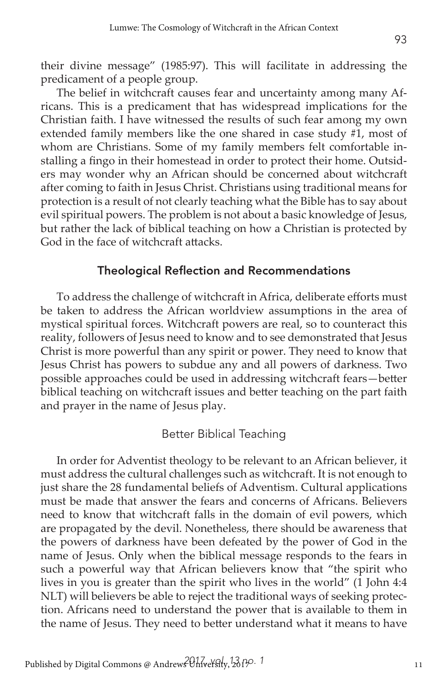The belief in witchcraft causes fear and uncertainty among many Africans. This is a predicament that has widespread implications for the Christian faith. I have witnessed the results of such fear among my own extended family members like the one shared in case study #1, most of whom are Christians. Some of my family members felt comfortable installing a fingo in their homestead in order to protect their home. Outsiders may wonder why an African should be concerned about witchcraft after coming to faith in Jesus Christ. Christians using traditional means for protection is a result of not clearly teaching what the Bible has to say about evil spiritual powers. The problem is not about a basic knowledge of Jesus, but rather the lack of biblical teaching on how a Christian is protected by God in the face of witchcraft attacks.

#### Theological Reflection and Recommendations

To address the challenge of witchcraft in Africa, deliberate efforts must be taken to address the African worldview assumptions in the area of mystical spiritual forces. Witchcraft powers are real, so to counteract this reality, followers of Jesus need to know and to see demonstrated that Jesus Christ is more powerful than any spirit or power. They need to know that Jesus Christ has powers to subdue any and all powers of darkness. Two possible approaches could be used in addressing witchcraft fears—better biblical teaching on witchcraft issues and better teaching on the part faith and prayer in the name of Jesus play.

#### Better Biblical Teaching

In order for Adventist theology to be relevant to an African believer, it must address the cultural challenges such as witchcraft. It is not enough to just share the 28 fundamental beliefs of Adventism. Cultural applications must be made that answer the fears and concerns of Africans. Believers need to know that witchcraft falls in the domain of evil powers, which are propagated by the devil. Nonetheless, there should be awareness that the powers of darkness have been defeated by the power of God in the name of Jesus. Only when the biblical message responds to the fears in such a powerful way that African believers know that "the spirit who lives in you is greater than the spirit who lives in the world" (1 John 4:4 NLT) will believers be able to reject the traditional ways of seeking protection. Africans need to understand the power that is available to them in the name of Jesus. They need to better understand what it means to have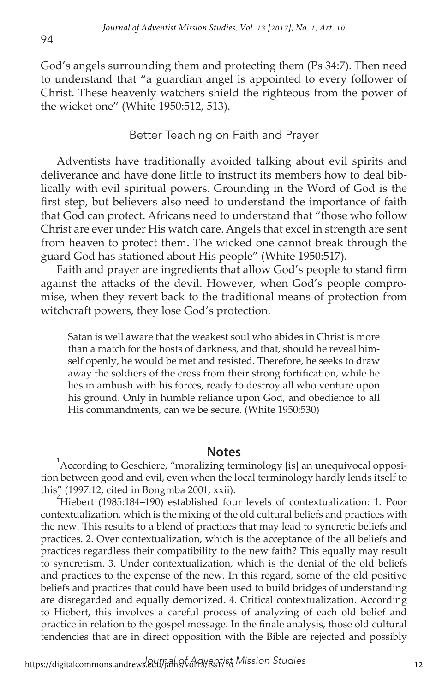God's angels surrounding them and protecting them (Ps 34:7). Then need to understand that "a guardian angel is appointed to every follower of Christ. These heavenly watchers shield the righteous from the power of the wicket one" (White 1950:512, 513).

#### Better Teaching on Faith and Prayer

Adventists have traditionally avoided talking about evil spirits and deliverance and have done little to instruct its members how to deal biblically with evil spiritual powers. Grounding in the Word of God is the first step, but believers also need to understand the importance of faith that God can protect. Africans need to understand that "those who follow Christ are ever under His watch care. Angels that excel in strength are sent from heaven to protect them. The wicked one cannot break through the guard God has stationed about His people" (White 1950:517).

Faith and prayer are ingredients that allow God's people to stand firm against the attacks of the devil. However, when God's people compromise, when they revert back to the traditional means of protection from witchcraft powers, they lose God's protection.

Satan is well aware that the weakest soul who abides in Christ is more than a match for the hosts of darkness, and that, should he reveal himself openly, he would be met and resisted. Therefore, he seeks to draw away the soldiers of the cross from their strong fortification, while he lies in ambush with his forces, ready to destroy all who venture upon his ground. Only in humble reliance upon God, and obedience to all His commandments, can we be secure. (White 1950:530)

**Notes**<br><sup>1</sup> According to Geschiere, "moralizing terminology [is] an unequivocal opposition between good and evil, even when the local terminology hardly lends itself to this" (1997:12, cited in Bongmba 2001, xxii). <sup>2</sup>

Hiebert (1985:184–190) established four levels of contextualization: 1. Poor contextualization, which is the mixing of the old cultural beliefs and practices with the new. This results to a blend of practices that may lead to syncretic beliefs and practices. 2. Over contextualization, which is the acceptance of the all beliefs and practices regardless their compatibility to the new faith? This equally may result to syncretism. 3. Under contextualization, which is the denial of the old beliefs and practices to the expense of the new. In this regard, some of the old positive beliefs and practices that could have been used to build bridges of understanding are disregarded and equally demonized. 4. Critical contextualization. According to Hiebert, this involves a careful process of analyzing of each old belief and practice in relation to the gospel message. In the finale analysis, those old cultural tendencies that are in direct opposition with the Bible are rejected and possibly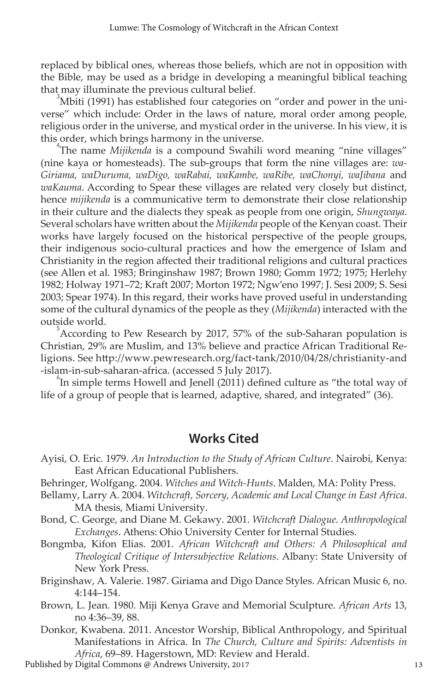replaced by biblical ones, whereas those beliefs, which are not in opposition with the Bible, may be used as a bridge in developing a meaningful biblical teaching that may illuminate the previous cultural belief.

Mbiti (1991) has established four categories on "order and power in the universe" which include: Order in the laws of nature, moral order among people, religious order in the universe, and mystical order in the universe. In his view, it is this order, which brings harmony in the universe. <sup>4</sup>

The name *Mijikenda* is a compound Swahili word meaning "nine villages" (nine kaya or homesteads). The sub-groups that form the nine villages are: *wa-Giriama, waDuruma, waDigo, waRabai, waKambe, waRibe, waChonyi, waJibana* and *waKauma*. According to Spear these villages are related very closely but distinct, hence *mijikenda* is a communicative term to demonstrate their close relationship in their culture and the dialects they speak as people from one origin, *Shungwaya*. Several scholars have written about the *Mijikenda* people of the Kenyan coast. Their works have largely focused on the historical perspective of the people groups, their indigenous socio-cultural practices and how the emergence of Islam and Christianity in the region affected their traditional religions and cultural practices (see Allen et al. 1983; Bringinshaw 1987; Brown 1980; Gomm 1972; 1975; Herlehy 1982; Holway 1971–72; Kraft 2007; Morton 1972; Ngw'eno 1997; J. Sesi 2009; S. Sesi 2003; Spear 1974). In this regard, their works have proved useful in understanding some of the cultural dynamics of the people as they (*Mijikenda*) interacted with the outside world. <sup>5</sup>

According to Pew Research by 2017, 57% of the sub-Saharan population is Christian, 29% are Muslim, and 13% believe and practice African Traditional Religions. See http://www.pewresearch.org/fact-tank/2010/04/28/christianity-and -islam-in-sub-saharan-africa. (accessed 5 July 2017).

 $\mathrm{L}^{\circ}$ In simple terms Howell and Jenell (2011) defined culture as "the total way of life of a group of people that is learned, adaptive, shared, and integrated" (36).

### **Works Cited**

- Ayisi, O. Eric. 1979. *An Introduction to the Study of African Culture*. Nairobi, Kenya: East African Educational Publishers.
- Behringer, Wolfgang. 2004. *Witches and Witch-Hunts*. Malden, MA: Polity Press.
- Bellamy, Larry A. 2004. *Witchcraft, Sorcery, Academic and Local Change in East Africa*. MA thesis, Miami University.
- Bond, C. George, and Diane M. Gekawy. 2001. *Witchcraft Dialogue. Anthropological Exchanges*. Athens: Ohio University Center for Internal Studies.
- Bongmba, Kifon Elias. 2001. *African Witchcraft and Others: A Philosophical and Theological Critique of Intersubjective Relations*. Albany: State University of New York Press.
- Briginshaw, A. Valerie. 1987. Giriama and Digo Dance Styles. African Music 6, no. 4:144–154.
- Brown, L. Jean. 1980. Miji Kenya Grave and Memorial Sculpture. *African Arts* 13, no 4:36–39, 88.
- Donkor, Kwabena. 2011. Ancestor Worship, Biblical Anthropology, and Spiritual Manifestations in Africa. In *The Church, Culture and Spirits: Adventists in Africa, 6*9–89. Hagerstown, MD: Review and Herald.<br>Digital Commons @ Andrews University, 2017
- Published by Digital Commons @ Andrews University, 2017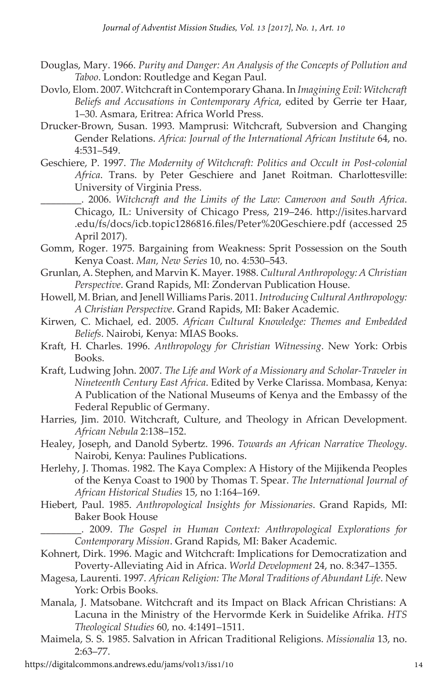- Douglas, Mary. 1966. *Purity and Danger: An Analysis of the Concepts of Pollution and Taboo*. London: Routledge and Kegan Paul.
- Dovlo, Elom. 2007. Witchcraft in Contemporary Ghana. In *Imagining Evil: Witchcraft Beliefs and Accusations in Contemporary Africa*, edited by Gerrie ter Haar, 1–30. Asmara, Eritrea: Africa World Press.
- Drucker-Brown, Susan. 1993. Mamprusi: Witchcraft, Subversion and Changing Gender Relations. *Africa: Journal of the International African Institute* 64, no. 4:531–549.
- Geschiere, P. 1997. *The Modernity of Witchcraft: Politics and Occult in Post-colonial Africa*. Trans. by Peter Geschiere and Janet Roitman. Charlottesville: University of Virginia Press.
	- \_\_\_\_\_\_\_\_. 2006. *Witchcraft and the Limits of the Law: Cameroon and South Africa*. Chicago, IL: University of Chicago Press, 219–246. http://isites.harvard .edu/fs/docs/icb.topic1286816.files/Peter%20Geschiere.pdf (accessed 25 April 2017).
- Gomm, Roger. 1975. Bargaining from Weakness: Sprit Possession on the South Kenya Coast. *Man, New Series* 10, no. 4:530–543.
- Grunlan, A. Stephen, and Marvin K. Mayer. 1988. *Cultural Anthropology: A Christian Perspective*. Grand Rapids, MI: Zondervan Publication House.
- Howell, M. Brian, and Jenell Williams Paris. 2011. *Introducing Cultural Anthropology: A Christian Perspective*. Grand Rapids, MI: Baker Academic.
- Kirwen, C. Michael, ed. 2005. *African Cultural Knowledge: Themes and Embedded Beliefs*. Nairobi, Kenya: MIAS Books.
- Kraft, H. Charles. 1996. *Anthropology for Christian Witnessing*. New York: Orbis Books.
- Kraft, Ludwing John. 2007. *The Life and Work of a Missionary and Scholar-Traveler in Nineteenth Century East Africa*. Edited by Verke Clarissa. Mombasa, Kenya: A Publication of the National Museums of Kenya and the Embassy of the Federal Republic of Germany.
- Harries, Jim. 2010. Witchcraft, Culture, and Theology in African Development. *African Nebula* 2:138–152.
- Healey, Joseph, and Danold Sybertz. 1996. *Towards an African Narrative Theology*. Nairobi, Kenya: Paulines Publications.
- Herlehy, J. Thomas. 1982. The Kaya Complex: A History of the Mijikenda Peoples of the Kenya Coast to 1900 by Thomas T. Spear. *The International Journal of African Historical Studies* 15, no 1:164–169.
- Hiebert, Paul. 1985. *Anthropological Insights for Missionaries*. Grand Rapids, MI: Baker Book House

\_\_\_\_\_\_\_\_. 2009. *The Gospel in Human Context: Anthropological Explorations for Contemporary Mission*. Grand Rapids, MI: Baker Academic.

- Kohnert, Dirk. 1996. Magic and Witchcraft: Implications for Democratization and Poverty-Alleviating Aid in Africa. *World Development* 24, no. 8:347–1355.
- Magesa, Laurenti. 1997. *African Religion: The Moral Traditions of Abundant Life*. New York: Orbis Books.
- Manala, J. Matsobane. Witchcraft and its Impact on Black African Christians: A Lacuna in the Ministry of the Hervormde Kerk in Suidelike Afrika. *HTS Theological Studies* 60, no. 4:1491–1511.
- Maimela, S. S. 1985. Salvation in African Traditional Religions. *Missionalia* 13, no. 2:63–77.